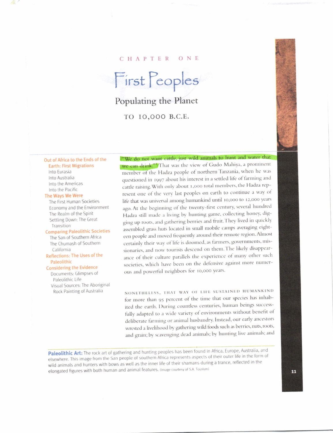## CHAPTER ONE

# First Peoples

Populating the Planet TO 10,000 B.C.E.

#### Out of Africa to the Ends of the **Earth: First Migrations**

Into Eurasia Into Australia Into the Americas Into the Pacific

### The Ways We Were

The First Human Societies Economy and the Environment The Realm of the Spirit Settling Down: The Great Transition

### **Comparing Paleolithic Societies**

The San of Southern Africa The Chumash of Southern California

#### Reflections: The Uses of the Paleolithic

#### **Considering the Evidence**

Documents: Glimpses of Paleolithic Life Visual Sources: The Aboriginal Rock Painting of Australia

"We do not want cattle, just wild animals to hunt and water that we can drink." That was the view of Gudo Mahiya, a prominent member of the Hadza people of northern Tanzania, when he was questioned in 1997 about his interest in a settled life of farming and cattle raising. With only about 1,000 total members, the Hadza represent one of the very last peoples on earth to continue a way of life that was universal among humankind until 10,000 to 12,000 years ago. At the beginning of the twenty-first century, several hundred Hadza still made a living by hunting game, collecting honey, digging up roots, and gathering berries and fruit. They lived in quickly assembled grass huts located in small mobile camps averaging eighteen people and moved frequently around their remote region. Almost certainly their way of life is doomed, as farmers, governments, missionaries, and now tourists descend on them. The likely disappearance of their culture parallels the experience of many other such societies, which have been on the defensive against more numerous and powerful neighbors for 10,000 years.

NONETHELESS, THAT WAY OF LIFE SUSTAINED HUMANKIND for more than 95 percent of the time that our species has inhabited the earth. During countless centuries, human beings successfully adapted to a wide variety of environments without benefit of deliberate farming or animal husbandry. Instead, our early ancestors wrested a livelihood by gathering wild foods such as berries, nuts, roots, and grain; by scavenging dead animals; by hunting live animals; and

Paleolithic Art: The rock art of gathering and hunting peoples has been found in Africa, Europe, Australia, and elsewhere. This image from the San people of southern Africa represents aspects of their outer life in the form of wild animals and hunters with bows as well as the inner life of their shamans during a trance, reflected in the elongated figures with both human and animal features. (Image courtesy of S.A. Tourism)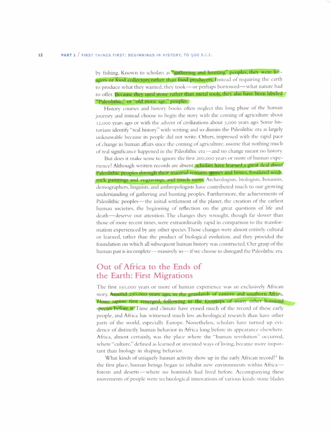by fishing. Known to scholars as "gathering and hunting" peoples, they were foragers or food collectors rather than food producers. Instead of requiring the earth to produce what they wanted, they took-or perhaps borrowed-what nature had to offer. Because they used stone rather than metal tools, they also have been labeled "Paleolithic," or "old stone age," peoples.

History courses and history books often neglect this long phase of the human journey and instead choose to begin the story with the coming of agriculture about 12,000 years ago or with the advent of civilizations about 5,000 years ago. Some historians identify "real history" with writing and so dismiss the Paleolithic era as largely unknowable because its people did not write. Others, impressed with the rapid pace of change in human affairs since the coming of agriculture, assume that nothing much of real significance happened in the Paleolithic era-and no change meant no history.

But does it make sense to ignore the first 200,000 years or more of human experience? Although written records are absent, scholars have learned a great deal about Paleolithic peoples through their material remains: stones and bones, fossilized seeds, rock paintings and engravings, and much more. Archeologists, biologists, botanists, demographers, linguists, and anthropologists have contributed much to our growing understanding of gathering and hunting peoples. Furthermore, the achievements of Paleolithic peoples—the initial settlement of the planet, the creation of the earliest human societies, the beginning of reflection on the great questions of life and death—deserve our attention. The changes they wrought, though far slower than those of more recent times, were extraordinarily rapid in comparison to the transformation experienced by any other species. Those changes were almost entirely cultural or learned, rather than the product of biological evolution, and they provided the foundation on which all subsequent human history was constructed. Our grasp of the human past is incomplete—massively so—if we choose to disregard the Paleolithic era.

# Out of Africa to the Ends of the Earth: First Migrations

The first 150,000 years or more of human experience was an exclusively African story. Around 250,000 years ago, in the grasslands of eastern and southern Africa, Homo sapiens first emerged, following in the footsteps of many other hominid species before it. Time and climate have erased much of the record of these early people, and Africa has witnessed much less archeological research than have other parts of the world, especially Europe. Nonetheless, scholars have turned up evidence of distinctly human behavior in Africa long before its appearance elsewhere. Africa, almost certainly, was the place where the "human revolution" occurred, where "culture," defined as learned or invented ways of living, became more important than biology in shaping behavior.

What kinds of uniquely human activity show up in the early African record?<sup>2</sup> In the first place, human beings began to inhabit new environments within Africaforests and deserts-where no hominids had lived before. Accompanying these movements of people were technological innovations of various kinds: stone blades